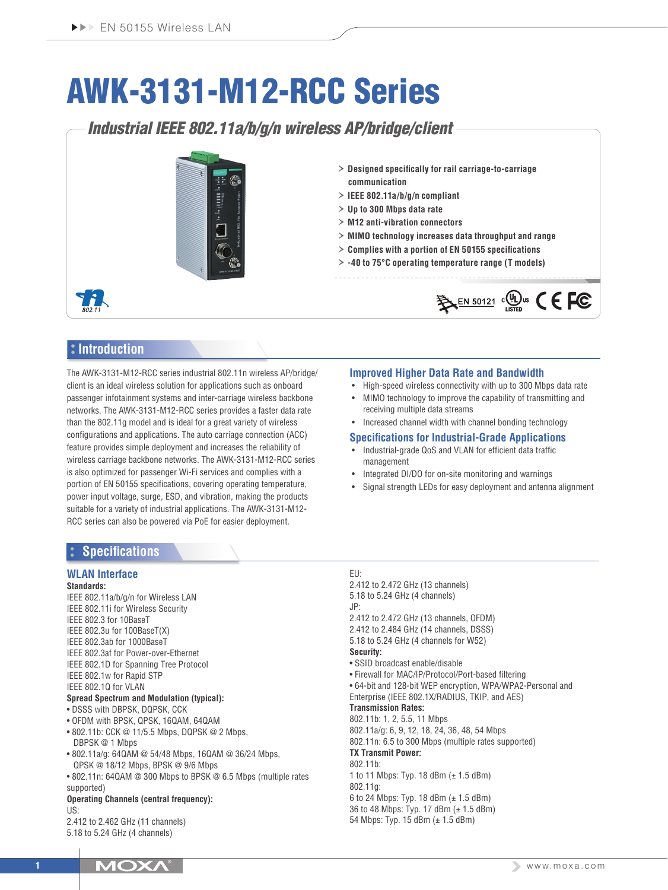# AWK-3131-M12-RCC Series

*Industrial IEEE 802.11a/b/g/n wireless AP/bridge/client*



- › **Designed specifically for rail carriage-to-carriage communication**
- › **IEEE 802.11a/b/g/n compliant**
- › **Up to 300 Mbps data rate**
- › **M12 anti-vibration connectors**
- › **MIMO technology increases data throughput and range**
- › **Complies with a portion of EN 50155 specifications**
- › **-40 to 75°C operating temperature range (T models)**



# **Introduction**

The AWK-3131-M12-RCC series industrial 802.11n wireless AP/bridge/ client is an ideal wireless solution for applications such as onboard passenger infotainment systems and inter-carriage wireless backbone networks. The AWK-3131-M12-RCC series provides a faster data rate than the 802.11g model and is ideal for a great variety of wireless configurations and applications. The auto carriage connection (ACC) feature provides simple deployment and increases the reliability of wireless carriage backbone networks. The AWK-3131-M12-RCC series is also optimized for passenger Wi-Fi services and complies with a portion of EN 50155 specifications, covering operating temperature, power input voltage, surge, ESD, and vibration, making the products suitable for a variety of industrial applications. The AWK-3131-M12- RCC series can also be powered via PoE for easier deployment.

## **Improved Higher Data Rate and Bandwidth**

- High-speed wireless connectivity with up to 300 Mbps data rate
- MIMO technology to improve the capability of transmitting and receiving multiple data streams
- Increased channel width with channel bonding technology

## **Specifications for Industrial-Grade Applications**

- Industrial-grade QoS and VLAN for efficient data traffic management
- Integrated DI/DO for on-site monitoring and warnings
- Signal strength LEDs for easy deployment and antenna alignment

# **Specifications**

# **WLAN Interface**

- **Standards:**
- IEEE 802.11a/b/g/n for Wireless LAN IEEE 802.11i for Wireless Security IEEE 802.3 for 10BaseT IEEE 802.3u for 100BaseT(X) IEEE 802.3ab for 1000BaseT IEEE 802.3af for Power-over-Ethernet IEEE 802.1D for Spanning Tree Protocol
- IEEE 802.1w for Rapid STP
- IEEE 802.1Q for VLAN

# **Spread Spectrum and Modulation (typical):**

- DSSS with DBPSK, DQPSK, CCK
- OFDM with BPSK, QPSK, 16QAM, 64QAM
- 802.11b: CCK @ 11/5.5 Mbps, DQPSK @ 2 Mbps, DBPSK @ 1 Mbps
- 802.11a/g: 64QAM @ 54/48 Mbps, 16QAM @ 36/24 Mbps, QPSK @ 18/12 Mbps, BPSK @ 9/6 Mbps
- 802.11n: 64QAM @ 300 Mbps to BPSK @ 6.5 Mbps (multiple rates supported)

#### **Operating Channels (central frequency):** US:

2.412 to 2.462 GHz (11 channels) 5.18 to 5.24 GHz (4 channels)

#### EU:

2.412 to 2.472 GHz (13 channels) 5.18 to 5.24 GHz (4 channels) JP: 2.412 to 2.472 GHz (13 channels, OFDM) 2.412 to 2.484 GHz (14 channels, DSSS) 5.18 to 5.24 GHz (4 channels for W52) **Security:** • SSID broadcast enable/disable • Firewall for MAC/IP/Protocol/Port-based filtering • 64-bit and 128-bit WEP encryption, WPA/WPA2-Personal and Enterprise (IEEE 802.1X/RADIUS, TKIP, and AES) **Transmission Rates:** 802.11b: 1, 2, 5.5, 11 Mbps 802.11a/g: 6, 9, 12, 18, 24, 36, 48, 54 Mbps 802.11n: 6.5 to 300 Mbps (multiple rates supported) **TX Transmit Power:** 802.11b: 1 to 11 Mbps: Typ. 18 dBm (± 1.5 dBm) 802.11g: 6 to 24 Mbps: Typ. 18 dBm (± 1.5 dBm) 36 to 48 Mbps: Typ. 17 dBm (± 1.5 dBm)

54 Mbps: Typ. 15 dBm (± 1.5 dBm)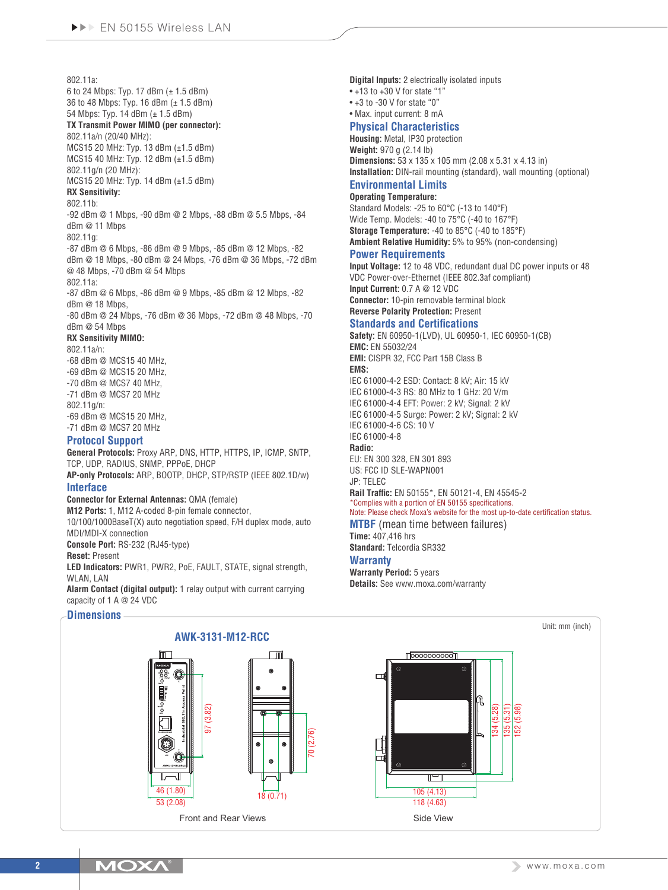#### 802.11a:

6 to 24 Mbps: Typ. 17 dBm (± 1.5 dBm) 36 to 48 Mbps: Typ. 16 dBm (± 1.5 dBm)

#### 54 Mbps: Typ. 14 dBm (± 1.5 dBm) **TX Transmit Power MIMO (per connector):**

# 802.11a/n (20/40 MHz):

MCS15 20 MHz: Typ. 13 dBm (±1.5 dBm) MCS15 40 MHz: Typ. 12 dBm (±1.5 dBm)

802.11g/n (20 MHz):

MCS15 20 MHz: Typ. 14 dBm (±1.5 dBm) **RX Sensitivity:**

# 802.11b:

-92 dBm @ 1 Mbps, -90 dBm @ 2 Mbps, -88 dBm @ 5.5 Mbps, -84 dBm @ 11 Mbps

802.11g:

-87 dBm @ 6 Mbps, -86 dBm @ 9 Mbps, -85 dBm @ 12 Mbps, -82 dBm @ 18 Mbps, -80 dBm @ 24 Mbps, -76 dBm @ 36 Mbps, -72 dBm @ 48 Mbps, -70 dBm @ 54 Mbps

#### 802.11a:

-87 dBm @ 6 Mbps, -86 dBm @ 9 Mbps, -85 dBm @ 12 Mbps, -82 dBm @ 18 Mbps,

-80 dBm @ 24 Mbps, -76 dBm @ 36 Mbps, -72 dBm @ 48 Mbps, -70 dBm @ 54 Mbps

#### **RX Sensitivity MIMO:**

802.11a/n:

-68 dBm @ MCS15 40 MHz, -69 dBm @ MCS15 20 MHz, -70 dBm @ MCS7 40 MHz, -71 dBm @ MCS7 20 MHz 802.11g/n: -69 dBm @ MCS15 20 MHz,

-71 dBm @ MCS7 20 MHz

# **Protocol Support**

**General Protocols:** Proxy ARP, DNS, HTTP, HTTPS, IP, ICMP, SNTP, TCP, UDP, RADIUS, SNMP, PPPoE, DHCP

**AP-only Protocols:** ARP, BOOTP, DHCP, STP/RSTP (IEEE 802.1D/w) **Interface**

## **Connector for External Antennas:** QMA (female)

**M12 Ports:** 1, M12 A-coded 8-pin female connector,

10/100/1000BaseT(X) auto negotiation speed, F/H duplex mode, auto MDI/MDI-X connection

**Console Port:** RS-232 (RJ45-type)

**Reset:** Present

**LED Indicators:** PWR1, PWR2, PoE, FAULT, STATE, signal strength, WI AN, LAN

**Alarm Contact (digital output):** 1 relay output with current carrying capacity of 1 A @ 24 VDC

## **Dimensions**

**Digital Inputs:** 2 electrically isolated inputs

- $*+13$  to  $+30$  V for state "1"
- $*$  +3 to -30 V for state "0"

• Max. input current: 8 mA

# **Physical Characteristics**

**Housing:** Metal, IP30 protection **Weight:** 970 g (2.14 lb) **Dimensions:** 53 x 135 x 105 mm (2.08 x 5.31 x 4.13 in) **Installation:** DIN-rail mounting (standard), wall mounting (optional)

#### **Environmental Limits Operating Temperature:**

Standard Models: -25 to 60°C (-13 to 140°F) Wide Temp. Models: -40 to 75°C (-40 to 167°F) **Storage Temperature:** -40 to 85°C (-40 to 185°F) **Ambient Relative Humidity:** 5% to 95% (non-condensing)

#### **Power Requirements**

**Input Voltage:** 12 to 48 VDC, redundant dual DC power inputs or 48 VDC Power-over-Ethernet (IEEE 802.3af compliant) **Input Current:** 0.7 A @ 12 VDC **Connector:** 10-pin removable terminal block **Reverse Polarity Protection:** Present

## **Standards and Certifications**

**Safety:** EN 60950-1(LVD), UL 60950-1, IEC 60950-1(CB) **EMC:** EN 55032/24 **EMI:** CISPR 32, FCC Part 15B Class B **EMS:** IEC 61000-4-2 ESD: Contact: 8 kV; Air: 15 kV IEC 61000-4-3 RS: 80 MHz to 1 GHz: 20 V/m IEC 61000-4-4 EFT: Power: 2 kV; Signal: 2 kV IEC 61000-4-5 Surge: Power: 2 kV; Signal: 2 kV IEC 61000-4-6 CS: 10 V IEC 61000-4-8 **Radio:** EU: EN 300 328, EN 301 893 US: FCC ID SLE-WAPN001 JP: TELEC **Rail Traffic:** EN 50155\*, EN 50121-4, EN 45545-2 \*Complies with a portion of EN 50155 specifications. Note: Please check Moxa's website for the most up-to-date certification status. **MTBF** (mean time between failures) **Time:** 407,416 hrs **Standard:** Telcordia SR332

## **Warranty**

**Warranty Period:** 5 years **Details:** See www.moxa.com/warranty